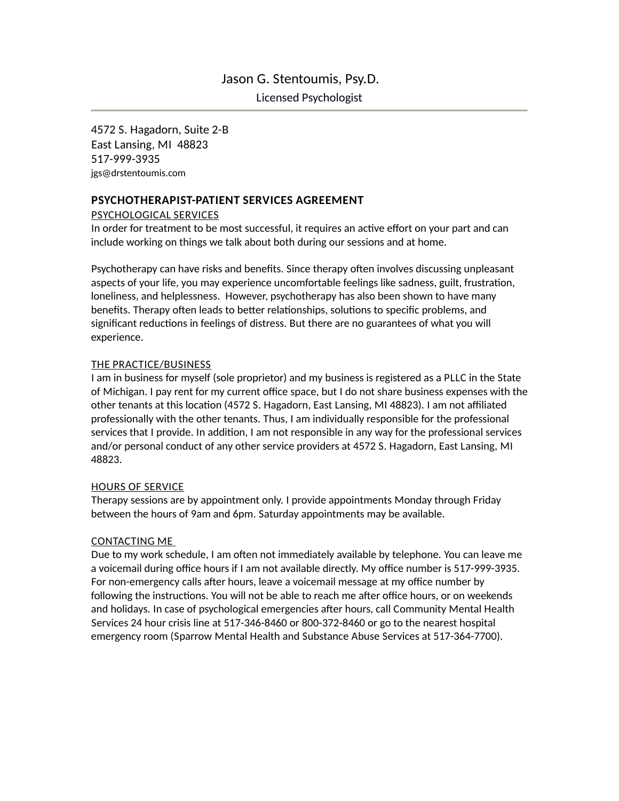# Jason G. Stentoumis, Psy.D.

Licensed Psychologist

4572 S. Hagadorn, Suite 2-B East Lansing, MI 48823 517-999-3935 [jgs@drstentoumis.com](mailto:jgs@drstentoumis.com)

# **PSYCHOTHERAPIST-PATIENT SERVICES AGREEMENT**

## PSYCHOLOGICAL SERVICES

In order for treatment to be most successful, it requires an active effort on your part and can include working on things we talk about both during our sessions and at home.

Psychotherapy can have risks and benefits. Since therapy often involves discussing unpleasant aspects of your life, you may experience uncomfortable feelings like sadness, guilt, frustration, loneliness, and helplessness. However, psychotherapy has also been shown to have many benefits. Therapy often leads to better relationships, solutions to specific problems, and significant reductions in feelings of distress. But there are no guarantees of what you will experience.

# THE PRACTICE/BUSINESS

I am in business for myself (sole proprietor) and my business is registered as a PLLC in the State of Michigan. I pay rent for my current office space, but I do not share business expenses with the other tenants at this location (4572 S. Hagadorn, East Lansing, MI 48823). I am not affiliated professionally with the other tenants. Thus, I am individually responsible for the professional services that I provide. In addition, I am not responsible in any way for the professional services and/or personal conduct of any other service providers at 4572 S. Hagadorn, East Lansing, MI 48823.

### HOURS OF SERVICE

Therapy sessions are by appointment only. I provide appointments Monday through Friday between the hours of 9am and 6pm. Saturday appointments may be available.

### CONTACTING ME

Due to my work schedule, I am often not immediately available by telephone. You can leave me a voicemail during office hours if I am not available directly. My office number is 517-999-3935. For non-emergency calls after hours, leave a voicemail message at my office number by following the instructions. You will not be able to reach me after office hours, or on weekends and holidays. In case of psychological emergencies after hours, call Community Mental Health Services 24 hour crisis line at 517-346-8460 or 800-372-8460 or go to the nearest hospital emergency room (Sparrow Mental Health and Substance Abuse Services at 517-364-7700).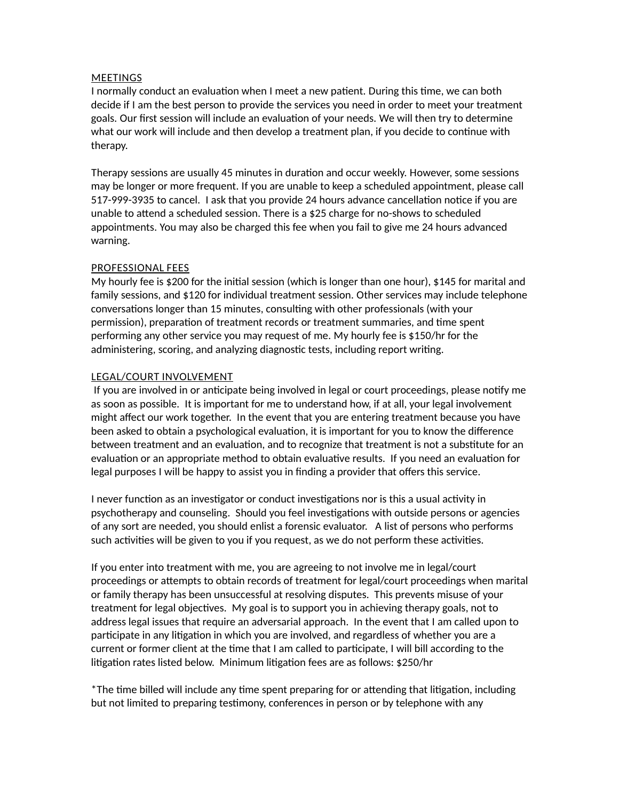#### **MEETINGS**

I normally conduct an evaluation when I meet a new patient. During this time, we can both decide if I am the best person to provide the services you need in order to meet your treatment goals. Our first session will include an evaluation of your needs. We will then try to determine what our work will include and then develop a treatment plan, if you decide to continue with therapy.

Therapy sessions are usually 45 minutes in duration and occur weekly. However, some sessions may be longer or more frequent. If you are unable to keep a scheduled appointment, please call 517-999-3935 to cancel. I ask that you provide 24 hours advance cancellation notice if you are unable to attend a scheduled session. There is a \$25 charge for no-shows to scheduled appointments. You may also be charged this fee when you fail to give me 24 hours advanced warning.

#### PROFESSIONAL FEES

My hourly fee is \$200 for the initial session (which is longer than one hour), \$145 for marital and family sessions, and \$120 for individual treatment session. Other services may include telephone conversations longer than 15 minutes, consulting with other professionals (with your permission), preparation of treatment records or treatment summaries, and time spent performing any other service you may request of me. My hourly fee is \$150/hr for the administering, scoring, and analyzing diagnostic tests, including report writing.

#### LEGAL/COURT INVOLVEMENT

If you are involved in or anticipate being involved in legal or court proceedings, please notify me as soon as possible. It is important for me to understand how, if at all, your legal involvement might affect our work together. In the event that you are entering treatment because you have been asked to obtain a psychological evaluation, it is important for you to know the difference between treatment and an evaluation, and to recognize that treatment is not a substitute for an evaluation or an appropriate method to obtain evaluative results. If you need an evaluation for legal purposes I will be happy to assist you in finding a provider that offers this service.

I never function as an investigator or conduct investigations nor is this a usual activity in psychotherapy and counseling. Should you feel investigations with outside persons or agencies of any sort are needed, you should enlist a forensic evaluator. A list of persons who performs such activities will be given to you if you request, as we do not perform these activities.

If you enter into treatment with me, you are agreeing to not involve me in legal/court proceedings or attempts to obtain records of treatment for legal/court proceedings when marital or family therapy has been unsuccessful at resolving disputes. This prevents misuse of your treatment for legal objectives. My goal is to support you in achieving therapy goals, not to address legal issues that require an adversarial approach. In the event that I am called upon to participate in any litigation in which you are involved, and regardless of whether you are a current or former client at the time that I am called to participate, I will bill according to the litigation rates listed below. Minimum litigation fees are as follows: \$250/hr

\*The time billed will include any time spent preparing for or attending that litigation, including but not limited to preparing testimony, conferences in person or by telephone with any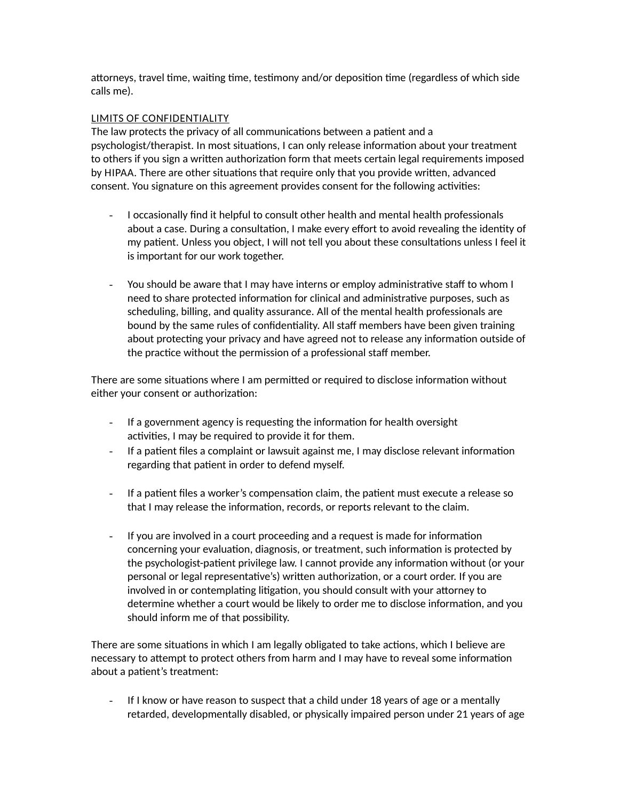attorneys, travel time, waiting time, testimony and/or deposition time (regardless of which side calls me).

### LIMITS OF CONFIDENTIALITY

The law protects the privacy of all communications between a patient and a psychologist/therapist. In most situations, I can only release information about your treatment to others if you sign a written authorization form that meets certain legal requirements imposed by HIPAA. There are other situations that require only that you provide written, advanced consent. You signature on this agreement provides consent for the following activities:

- I occasionally find it helpful to consult other health and mental health professionals about a case. During a consultation, I make every effort to avoid revealing the identity of my patient. Unless you object, I will not tell you about these consultations unless I feel it is important for our work together.
- You should be aware that I may have interns or employ administrative staff to whom I need to share protected information for clinical and administrative purposes, such as scheduling, billing, and quality assurance. All of the mental health professionals are bound by the same rules of confidentiality. All staff members have been given training about protecting your privacy and have agreed not to release any information outside of the practice without the permission of a professional staff member.

There are some situations where I am permitted or required to disclose information without either your consent or authorization:

- If a government agency is requesting the information for health oversight activities, I may be required to provide it for them.
- If a patient files a complaint or lawsuit against me, I may disclose relevant information regarding that patient in order to defend myself.
- If a patient files a worker's compensation claim, the patient must execute a release so that I may release the information, records, or reports relevant to the claim.
- If you are involved in a court proceeding and a request is made for information concerning your evaluation, diagnosis, or treatment, such information is protected by the psychologist-patient privilege law. I cannot provide any information without (or your personal or legal representative's) written authorization, or a court order. If you are involved in or contemplating litigation, you should consult with your attorney to determine whether a court would be likely to order me to disclose information, and you should inform me of that possibility.

There are some situations in which I am legally obligated to take actions, which I believe are necessary to attempt to protect others from harm and I may have to reveal some information about a patient's treatment:

- If I know or have reason to suspect that a child under 18 years of age or a mentally retarded, developmentally disabled, or physically impaired person under 21 years of age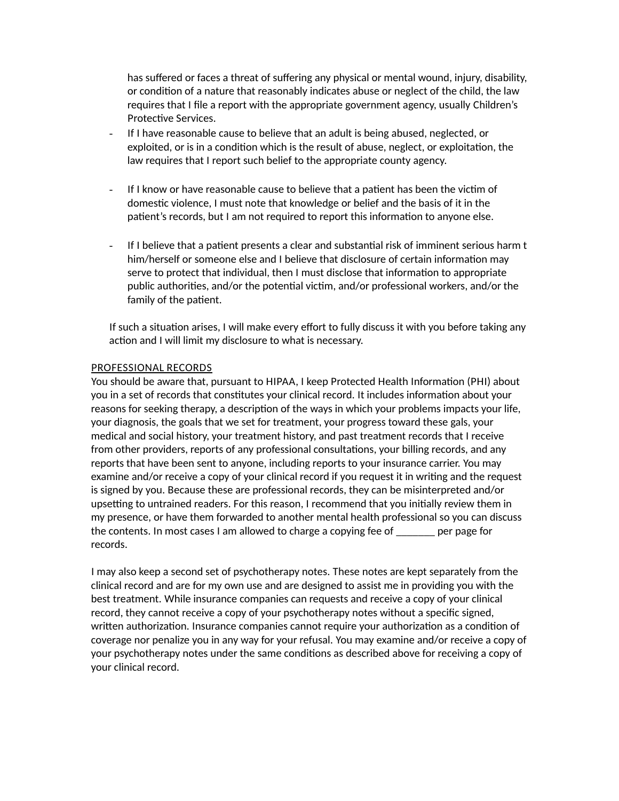has suffered or faces a threat of suffering any physical or mental wound, injury, disability, or condition of a nature that reasonably indicates abuse or neglect of the child, the law requires that I file a report with the appropriate government agency, usually Children's Protective Services.

- If I have reasonable cause to believe that an adult is being abused, neglected, or exploited, or is in a condition which is the result of abuse, neglect, or exploitation, the law requires that I report such belief to the appropriate county agency.
- If I know or have reasonable cause to believe that a patient has been the victim of domestic violence, I must note that knowledge or belief and the basis of it in the patient's records, but I am not required to report this information to anyone else.
- If I believe that a patient presents a clear and substantial risk of imminent serious harm t him/herself or someone else and I believe that disclosure of certain information may serve to protect that individual, then I must disclose that information to appropriate public authorities, and/or the potential victim, and/or professional workers, and/or the family of the patient.

If such a situation arises, I will make every effort to fully discuss it with you before taking any action and I will limit my disclosure to what is necessary.

#### PROFESSIONAL RECORDS

You should be aware that, pursuant to HIPAA, I keep Protected Health Information (PHI) about you in a set of records that constitutes your clinical record. It includes information about your reasons for seeking therapy, a description of the ways in which your problems impacts your life, your diagnosis, the goals that we set for treatment, your progress toward these gals, your medical and social history, your treatment history, and past treatment records that I receive from other providers, reports of any professional consultations, your billing records, and any reports that have been sent to anyone, including reports to your insurance carrier. You may examine and/or receive a copy of your clinical record if you request it in writing and the request is signed by you. Because these are professional records, they can be misinterpreted and/or upsetting to untrained readers. For this reason, I recommend that you initially review them in my presence, or have them forwarded to another mental health professional so you can discuss the contents. In most cases I am allowed to charge a copying fee of \_\_\_\_\_\_\_ per page for records.

I may also keep a second set of psychotherapy notes. These notes are kept separately from the clinical record and are for my own use and are designed to assist me in providing you with the best treatment. While insurance companies can requests and receive a copy of your clinical record, they cannot receive a copy of your psychotherapy notes without a specific signed, written authorization. Insurance companies cannot require your authorization as a condition of coverage nor penalize you in any way for your refusal. You may examine and/or receive a copy of your psychotherapy notes under the same conditions as described above for receiving a copy of your clinical record.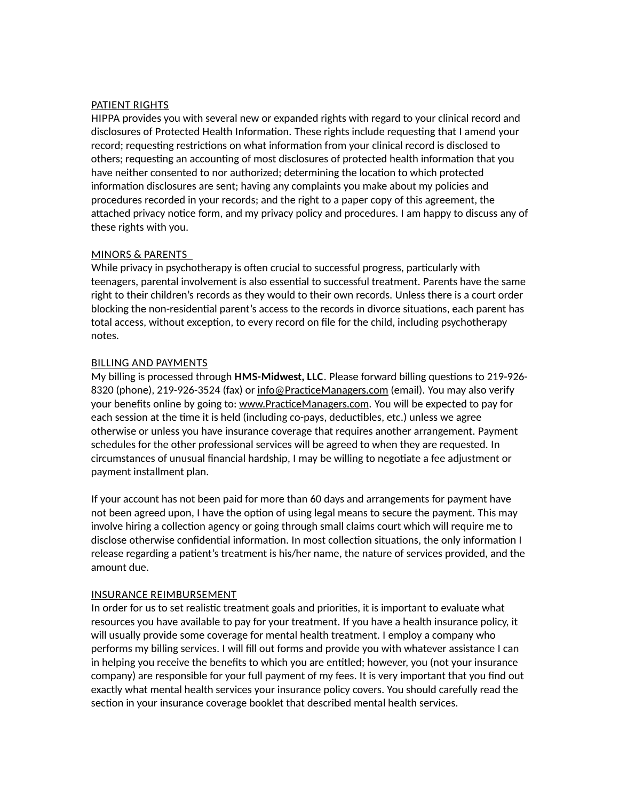#### PATIENT RIGHTS

HIPPA provides you with several new or expanded rights with regard to your clinical record and disclosures of Protected Health Information. These rights include requesting that I amend your record; requesting restrictions on what information from your clinical record is disclosed to others; requesting an accounting of most disclosures of protected health information that you have neither consented to nor authorized; determining the location to which protected information disclosures are sent; having any complaints you make about my policies and procedures recorded in your records; and the right to a paper copy of this agreement, the attached privacy notice form, and my privacy policy and procedures. I am happy to discuss any of these rights with you.

#### MINORS & PARENTS

While privacy in psychotherapy is often crucial to successful progress, particularly with teenagers, parental involvement is also essential to successful treatment. Parents have the same right to their children's records as they would to their own records. Unless there is a court order blocking the non-residential parent's access to the records in divorce situations, each parent has total access, without exception, to every record on file for the child, including psychotherapy notes.

#### BILLING AND PAYMENTS

My billing is processed through **HMS-Midwest, LLC**. Please forward billing questions to 219-926 8320 (phone), 219-926-3524 (fax) or inf[o@PracticeManagers.com](mailto:h@PracticeManagers.com) (email). You may also verify your benefits online by going to: [www.PracticeManagers.com.](http://www.PracticeManagers.com/) You will be expected to pay for each session at the time it is held (including co-pays, deductibles, etc.) unless we agree otherwise or unless you have insurance coverage that requires another arrangement. Payment schedules for the other professional services will be agreed to when they are requested. In circumstances of unusual financial hardship, I may be willing to negotiate a fee adjustment or payment installment plan.

If your account has not been paid for more than 60 days and arrangements for payment have not been agreed upon, I have the option of using legal means to secure the payment. This may involve hiring a collection agency or going through small claims court which will require me to disclose otherwise confidential information. In most collection situations, the only information I release regarding a patient's treatment is his/her name, the nature of services provided, and the amount due.

#### INSURANCE REIMBURSEMENT

In order for us to set realistic treatment goals and priorities, it is important to evaluate what resources you have available to pay for your treatment. If you have a health insurance policy, it will usually provide some coverage for mental health treatment. I employ a company who performs my billing services. I will fill out forms and provide you with whatever assistance I can in helping you receive the benefits to which you are entitled; however, you (not your insurance company) are responsible for your full payment of my fees. It is very important that you find out exactly what mental health services your insurance policy covers. You should carefully read the section in your insurance coverage booklet that described mental health services.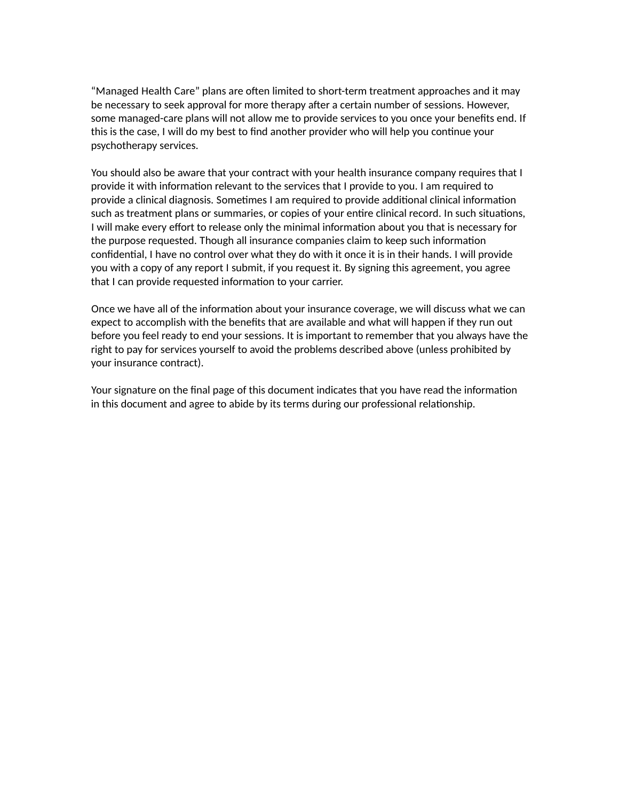"Managed Health Care" plans are often limited to short-term treatment approaches and it may be necessary to seek approval for more therapy after a certain number of sessions. However, some managed-care plans will not allow me to provide services to you once your benefits end. If this is the case, I will do my best to find another provider who will help you continue your psychotherapy services.

You should also be aware that your contract with your health insurance company requires that I provide it with information relevant to the services that I provide to you. I am required to provide a clinical diagnosis. Sometimes I am required to provide additional clinical information such as treatment plans or summaries, or copies of your entire clinical record. In such situations, I will make every effort to release only the minimal information about you that is necessary for the purpose requested. Though all insurance companies claim to keep such information confidential, I have no control over what they do with it once it is in their hands. I will provide you with a copy of any report I submit, if you request it. By signing this agreement, you agree that I can provide requested information to your carrier.

Once we have all of the information about your insurance coverage, we will discuss what we can expect to accomplish with the benefits that are available and what will happen if they run out before you feel ready to end your sessions. It is important to remember that you always have the right to pay for services yourself to avoid the problems described above (unless prohibited by your insurance contract).

Your signature on the final page of this document indicates that you have read the information in this document and agree to abide by its terms during our professional relationship.